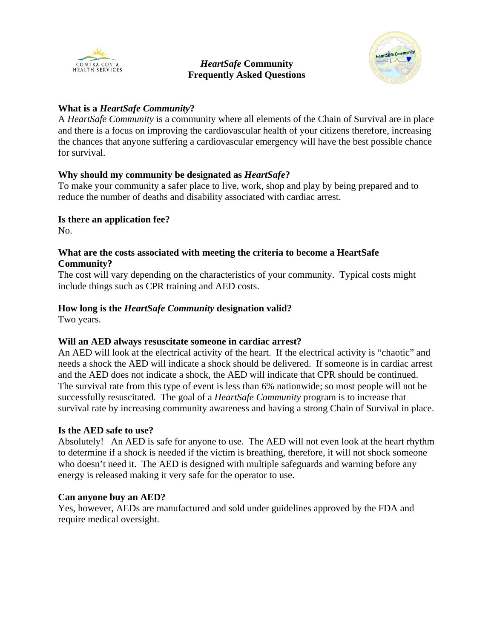

#### *HeartSafe* **Community Frequently Asked Questions**



## **What is a** *HeartSafe Community***?**

A *HeartSafe Community* is a community where all elements of the Chain of Survival are in place and there is a focus on improving the cardiovascular health of your citizens therefore, increasing the chances that anyone suffering a cardiovascular emergency will have the best possible chance for survival.

# **Why should my community be designated as** *HeartSafe***?**

To make your community a safer place to live, work, shop and play by being prepared and to reduce the number of deaths and disability associated with cardiac arrest.

## **Is there an application fee?**

No.

### **What are the costs associated with meeting the criteria to become a HeartSafe Community?**

The cost will vary depending on the characteristics of your community. Typical costs might include things such as CPR training and AED costs.

# **How long is the** *HeartSafe Community* **designation valid?**

Two years.

### **Will an AED always resuscitate someone in cardiac arrest?**

An AED will look at the electrical activity of the heart. If the electrical activity is "chaotic" and needs a shock the AED will indicate a shock should be delivered. If someone is in cardiac arrest and the AED does not indicate a shock, the AED will indicate that CPR should be continued. The survival rate from this type of event is less than 6% nationwide; so most people will not be successfully resuscitated. The goal of a *HeartSafe Community* program is to increase that survival rate by increasing community awareness and having a strong Chain of Survival in place.

### **Is the AED safe to use?**

Absolutely! An AED is safe for anyone to use. The AED will not even look at the heart rhythm to determine if a shock is needed if the victim is breathing, therefore, it will not shock someone who doesn't need it. The AED is designed with multiple safeguards and warning before any energy is released making it very safe for the operator to use.

### **Can anyone buy an AED?**

Yes, however, AEDs are manufactured and sold under guidelines approved by the FDA and require medical oversight.